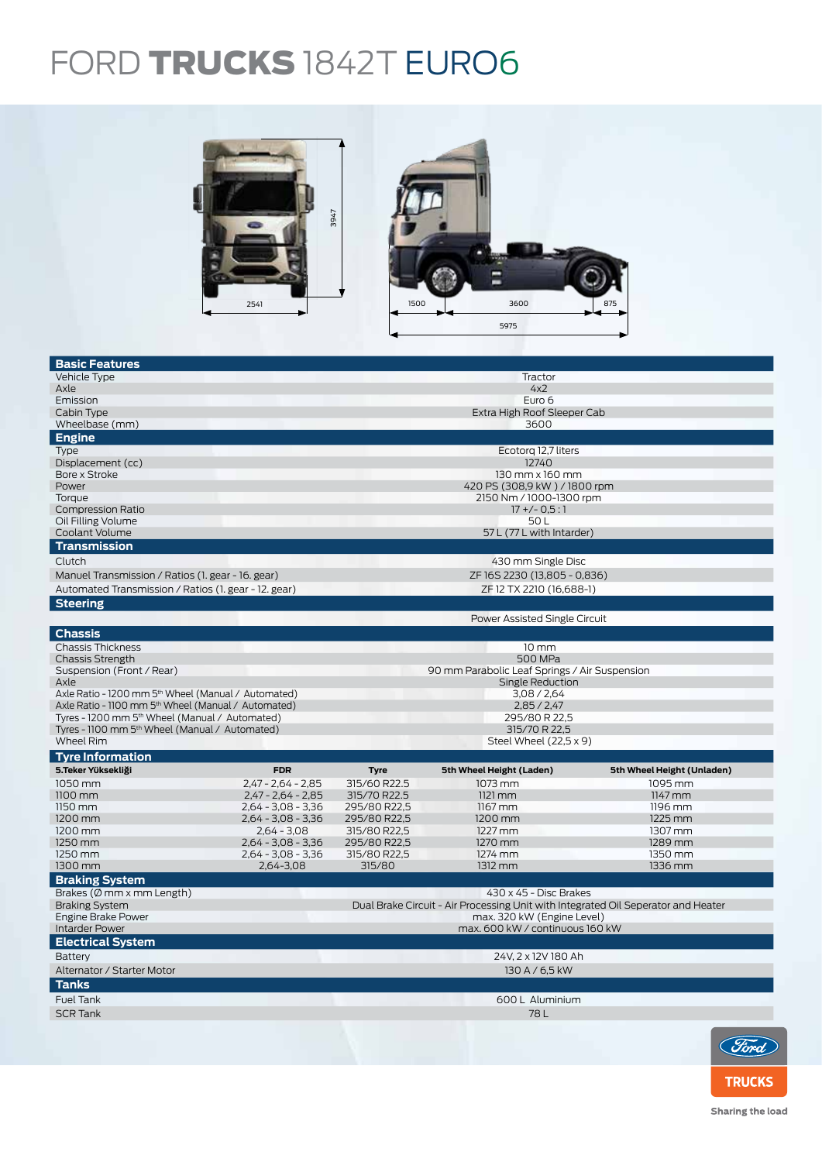## FORD TRUCKS 1842T EURO6



| <b>Basic Features</b>                                           |                                       |                                                                                   |                                               |                            |  |  |  |
|-----------------------------------------------------------------|---------------------------------------|-----------------------------------------------------------------------------------|-----------------------------------------------|----------------------------|--|--|--|
| Vehicle Type                                                    |                                       | Tractor                                                                           |                                               |                            |  |  |  |
| Axle                                                            |                                       | 4x2                                                                               |                                               |                            |  |  |  |
| Emission                                                        |                                       | Euro 6                                                                            |                                               |                            |  |  |  |
| Cabin Type                                                      |                                       |                                                                                   | Extra High Roof Sleeper Cab                   |                            |  |  |  |
| Wheelbase (mm)                                                  |                                       |                                                                                   | 3600                                          |                            |  |  |  |
| <b>Engine</b>                                                   |                                       |                                                                                   |                                               |                            |  |  |  |
| Type                                                            |                                       |                                                                                   | Ecotorg 12,7 liters                           |                            |  |  |  |
| Displacement (cc)                                               |                                       | 12740                                                                             |                                               |                            |  |  |  |
| Bore x Stroke                                                   |                                       | $130$ mm $\times$ 160 mm                                                          |                                               |                            |  |  |  |
| Power                                                           |                                       | 420 PS (308,9 kW) / 1800 rpm                                                      |                                               |                            |  |  |  |
| Toraue<br><b>Compression Ratio</b>                              |                                       | 2150 Nm / 1000-1300 rpm<br>$17 + (-0.5:1)$                                        |                                               |                            |  |  |  |
| Oil Filling Volume                                              |                                       |                                                                                   | 50 L                                          |                            |  |  |  |
| Coolant Volume                                                  |                                       |                                                                                   | 57 L (77 L with Intarder)                     |                            |  |  |  |
| <b>Transmission</b>                                             |                                       |                                                                                   |                                               |                            |  |  |  |
| Clutch                                                          |                                       |                                                                                   | 430 mm Single Disc                            |                            |  |  |  |
| Manuel Transmission / Ratios (1. gear - 16. gear)               |                                       |                                                                                   | ZF 16S 2230 (13,805 - 0,836)                  |                            |  |  |  |
| Automated Transmission / Ratios (1. gear - 12. gear)            |                                       |                                                                                   | ZF 12 TX 2210 (16,688-1)                      |                            |  |  |  |
| <b>Steering</b>                                                 |                                       |                                                                                   |                                               |                            |  |  |  |
|                                                                 |                                       |                                                                                   | Power Assisted Single Circuit                 |                            |  |  |  |
| <b>Chassis</b>                                                  |                                       |                                                                                   |                                               |                            |  |  |  |
| <b>Chassis Thickness</b>                                        |                                       |                                                                                   |                                               |                            |  |  |  |
| <b>Chassis Strength</b>                                         |                                       |                                                                                   | $10 \text{ mm}$<br>500 MPa                    |                            |  |  |  |
| Suspension (Front / Rear)                                       |                                       |                                                                                   | 90 mm Parabolic Leaf Springs / Air Suspension |                            |  |  |  |
| Axle                                                            |                                       |                                                                                   | Single Reduction                              |                            |  |  |  |
| Axle Ratio - 1200 mm 5 <sup>th</sup> Wheel (Manual / Automated) |                                       |                                                                                   | 3,08 / 2,64                                   |                            |  |  |  |
| Axle Ratio - 1100 mm 5 <sup>th</sup> Wheel (Manual / Automated) |                                       |                                                                                   | 2,85/2,47                                     |                            |  |  |  |
| Tyres - 1200 mm 5 <sup>th</sup> Wheel (Manual / Automated)      |                                       | 295/80 R 22,5                                                                     |                                               |                            |  |  |  |
| Tyres - 1100 mm 5 <sup>th</sup> Wheel (Manual / Automated)      |                                       | 315/70 R 22,5                                                                     |                                               |                            |  |  |  |
| Wheel Rim                                                       |                                       | Steel Wheel (22,5 x 9)                                                            |                                               |                            |  |  |  |
| <b>Tyre Information</b>                                         |                                       |                                                                                   |                                               |                            |  |  |  |
| 5.Teker Yüksekliği                                              | <b>FDR</b>                            | <b>Tyre</b>                                                                       | 5th Wheel Height (Laden)                      | 5th Wheel Height (Unladen) |  |  |  |
| 1050 mm                                                         | $2.47 - 2.64 - 2.85$                  | 315/60 R22.5                                                                      | 1073 mm                                       | 1095 mm                    |  |  |  |
| 1100 mm                                                         | $2,47 - 2,64 - 2,85$                  | 315/70 R22.5                                                                      | $1121$ mm                                     | 1147 mm                    |  |  |  |
| 1150 mm                                                         | $2,64 - 3,08 - 3,36$                  | 295/80 R22,5                                                                      | $1167$ mm                                     | 1196 mm                    |  |  |  |
| 1200 mm                                                         | $2,64 - 3,08 - 3,36$                  | 295/80 R22,5                                                                      | 1200 mm                                       | 1225 mm                    |  |  |  |
| 1200 mm<br>1250 mm                                              | $2,64 - 3,08$<br>$2,64 - 3,08 - 3,36$ | 315/80 R22,5<br>295/80 R22,5                                                      | 1227 mm<br>1270 mm                            | 1307 mm<br>1289 mm         |  |  |  |
| 1250 mm                                                         | $2,64 - 3,08 - 3,36$                  | 315/80 R22,5                                                                      | 1274 mm                                       | 1350 mm                    |  |  |  |
| 1300 mm                                                         | 2,64-3,08                             | 315/80                                                                            | 1312 mm                                       | 1336 mm                    |  |  |  |
| <b>Braking System</b>                                           |                                       |                                                                                   |                                               |                            |  |  |  |
| Brakes ( $\emptyset$ mm x mm Length)                            |                                       |                                                                                   | 430 x 45 - Disc Brakes                        |                            |  |  |  |
| <b>Braking System</b>                                           |                                       | Dual Brake Circuit - Air Processing Unit with Integrated Oil Seperator and Heater |                                               |                            |  |  |  |
| <b>Engine Brake Power</b>                                       |                                       | max. 320 kW (Engine Level)                                                        |                                               |                            |  |  |  |
| <b>Intarder Power</b>                                           |                                       | max. 600 kW / continuous 160 kW                                                   |                                               |                            |  |  |  |
| <b>Electrical System</b>                                        |                                       |                                                                                   |                                               |                            |  |  |  |
| Battery                                                         |                                       |                                                                                   | 24V, 2 x 12V 180 Ah                           |                            |  |  |  |
| Alternator / Starter Motor                                      |                                       | 130 A / 6,5 kW                                                                    |                                               |                            |  |  |  |
| <b>Tanks</b>                                                    |                                       |                                                                                   |                                               |                            |  |  |  |
| <b>Fuel Tank</b>                                                |                                       | 600 L Aluminium                                                                   |                                               |                            |  |  |  |
| <b>SCR Tank</b>                                                 |                                       | 78L                                                                               |                                               |                            |  |  |  |
|                                                                 |                                       |                                                                                   |                                               |                            |  |  |  |
|                                                                 |                                       |                                                                                   |                                               | Ford                       |  |  |  |

**TRUCKS**